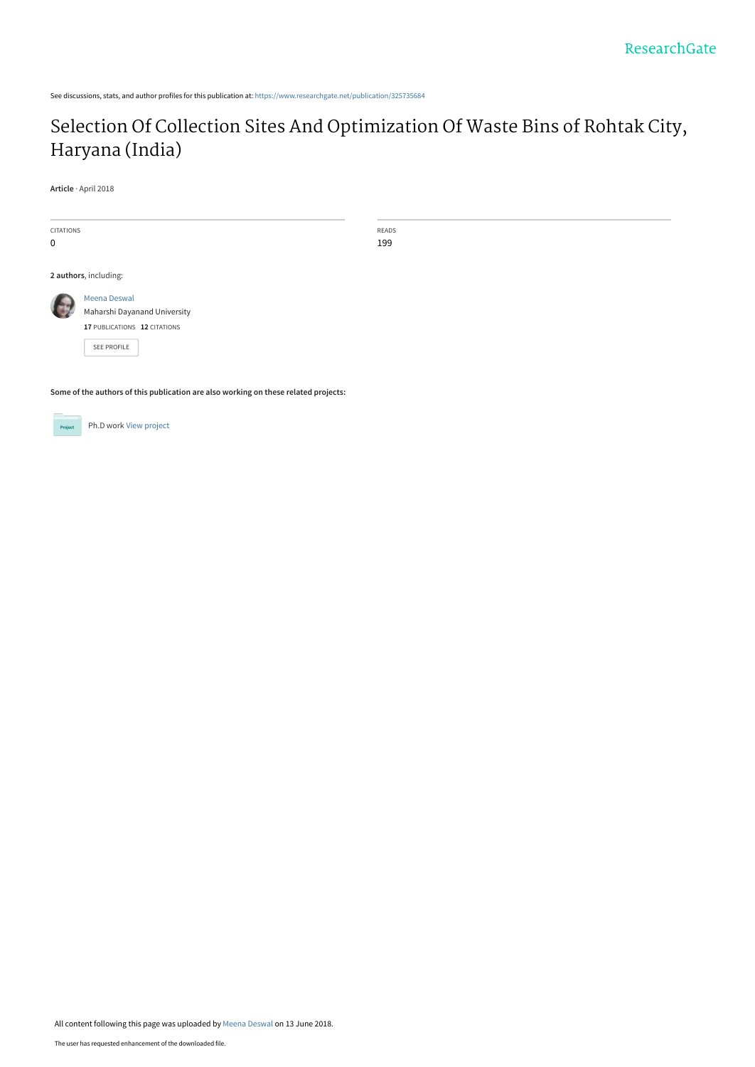See discussions, stats, and author profiles for this publication at: [https://www.researchgate.net/publication/325735684](https://www.researchgate.net/publication/325735684_Selection_Of_Collection_Sites_And_Optimization_Of_Waste_Bins_of_Rohtak_City_Haryana_India?enrichId=rgreq-25b6f6f2bc830310133eba09faa419cb-XXX&enrichSource=Y292ZXJQYWdlOzMyNTczNTY4NDtBUzo2MzY5ODU2OTM3MDAxMDBAMTUyODg4MDYzMjg0MQ%3D%3D&el=1_x_2&_esc=publicationCoverPdf)

# [Selection Of Collection Sites And Optimization Of Waste Bins of Rohtak City,](https://www.researchgate.net/publication/325735684_Selection_Of_Collection_Sites_And_Optimization_Of_Waste_Bins_of_Rohtak_City_Haryana_India?enrichId=rgreq-25b6f6f2bc830310133eba09faa419cb-XXX&enrichSource=Y292ZXJQYWdlOzMyNTczNTY4NDtBUzo2MzY5ODU2OTM3MDAxMDBAMTUyODg4MDYzMjg0MQ%3D%3D&el=1_x_3&_esc=publicationCoverPdf) Haryana (India)

**Article** · April 2018

| <b>CITATIONS</b><br>$\mathbf 0$ |                                                                                                    | READS<br>199 |
|---------------------------------|----------------------------------------------------------------------------------------------------|--------------|
|                                 | 2 authors, including:                                                                              |              |
| ft.                             | Meena Deswal<br>Maharshi Dayanand University<br>17 PUBLICATIONS 12 CITATIONS<br><b>SEE PROFILE</b> |              |

**Some of the authors of this publication are also working on these related projects:**



Ph.D work [View project](https://www.researchgate.net/project/PhD-work-221?enrichId=rgreq-25b6f6f2bc830310133eba09faa419cb-XXX&enrichSource=Y292ZXJQYWdlOzMyNTczNTY4NDtBUzo2MzY5ODU2OTM3MDAxMDBAMTUyODg4MDYzMjg0MQ%3D%3D&el=1_x_9&_esc=publicationCoverPdf)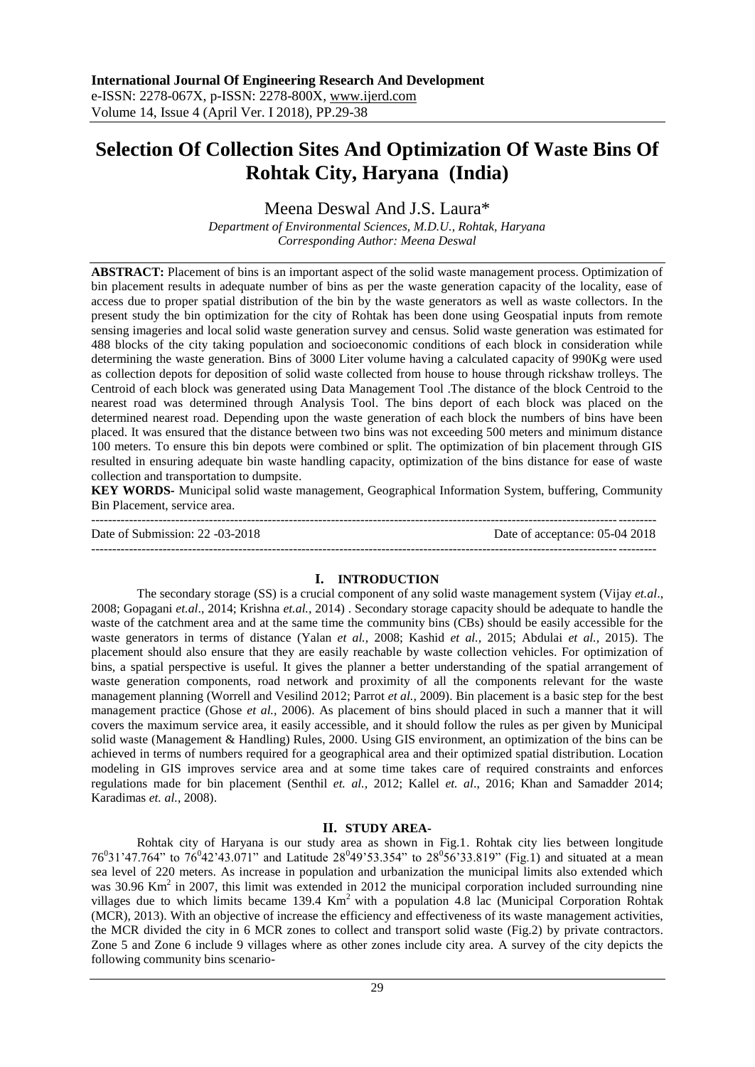# **Selection Of Collection Sites And Optimization Of Waste Bins Of Rohtak City, Haryana (India)**

Meena Deswal And J.S. Laura\*

*Department of Environmental Sciences, M.D.U., Rohtak, Haryana Corresponding Author: Meena Deswal*

**ABSTRACT:** Placement of bins is an important aspect of the solid waste management process. Optimization of bin placement results in adequate number of bins as per the waste generation capacity of the locality, ease of access due to proper spatial distribution of the bin by the waste generators as well as waste collectors. In the present study the bin optimization for the city of Rohtak has been done using Geospatial inputs from remote sensing imageries and local solid waste generation survey and census. Solid waste generation was estimated for 488 blocks of the city taking population and socioeconomic conditions of each block in consideration while determining the waste generation. Bins of 3000 Liter volume having a calculated capacity of 990Kg were used as collection depots for deposition of solid waste collected from house to house through rickshaw trolleys. The Centroid of each block was generated using Data Management Tool .The distance of the block Centroid to the nearest road was determined through Analysis Tool. The bins deport of each block was placed on the determined nearest road. Depending upon the waste generation of each block the numbers of bins have been placed. It was ensured that the distance between two bins was not exceeding 500 meters and minimum distance 100 meters. To ensure this bin depots were combined or split. The optimization of bin placement through GIS resulted in ensuring adequate bin waste handling capacity, optimization of the bins distance for ease of waste collection and transportation to dumpsite.

**KEY WORDS-** Municipal solid waste management, Geographical Information System, buffering, Community Bin Placement, service area.

-------------------------------------------------------------------------------------------------------------------------------------- Date of Submission: 22 -03-2018 Date of acceptance: 05-04 2018 --------------------------------------------------------------------------------------------------------------------------------------

## **I. INTRODUCTION**

The secondary storage (SS) is a crucial component of any solid waste management system (Vijay *et.al*., 2008; Gopagani *et.al*., 2014; Krishna *et.al.,* 2014) . Secondary storage capacity should be adequate to handle the waste of the catchment area and at the same time the community bins (CBs) should be easily accessible for the waste generators in terms of distance (Yalan *et al.,* 2008; Kashid *et al.,* 2015; Abdulai *et al.,* 2015). The placement should also ensure that they are easily reachable by waste collection vehicles. For optimization of bins, a spatial perspective is useful. It gives the planner a better understanding of the spatial arrangement of waste generation components, road network and proximity of all the components relevant for the waste management planning (Worrell and Vesilind 2012; Parrot *et al.,* 2009). Bin placement is a basic step for the best management practice (Ghose *et al.,* 2006). As placement of bins should placed in such a manner that it will covers the maximum service area, it easily accessible, and it should follow the rules as per given by Municipal solid waste (Management & Handling) Rules, 2000. Using GIS environment, an optimization of the bins can be achieved in terms of numbers required for a geographical area and their optimized spatial distribution. Location modeling in GIS improves service area and at some time takes care of required constraints and enforces regulations made for bin placement (Senthil *et. al.,* 2012; Kallel *et. al*., 2016; Khan and Samadder 2014; Karadimas *et. al.*, 2008).

## **II. STUDY AREA-**

Rohtak city of Haryana is our study area as shown in Fig.1. Rohtak city lies between longitude 76<sup>0</sup>31'47.764" to 76<sup>0</sup>42'43.071" and Latitude 28<sup>0</sup>49'53.354" to 28<sup>0</sup>56'33.819" (Fig.1) and situated at a mean sea level of 220 meters. As increase in population and urbanization the municipal limits also extended which was 30.96 Km<sup>2</sup> in 2007, this limit was extended in 2012 the municipal corporation included surrounding nine villages due to which limits became  $139.4 \text{ Km}^2$  with a population 4.8 lac (Municipal Corporation Rohtak (MCR), 2013). With an objective of increase the efficiency and effectiveness of its waste management activities, the MCR divided the city in 6 MCR zones to collect and transport solid waste (Fig.2) by private contractors. Zone 5 and Zone 6 include 9 villages where as other zones include city area. A survey of the city depicts the following community bins scenario-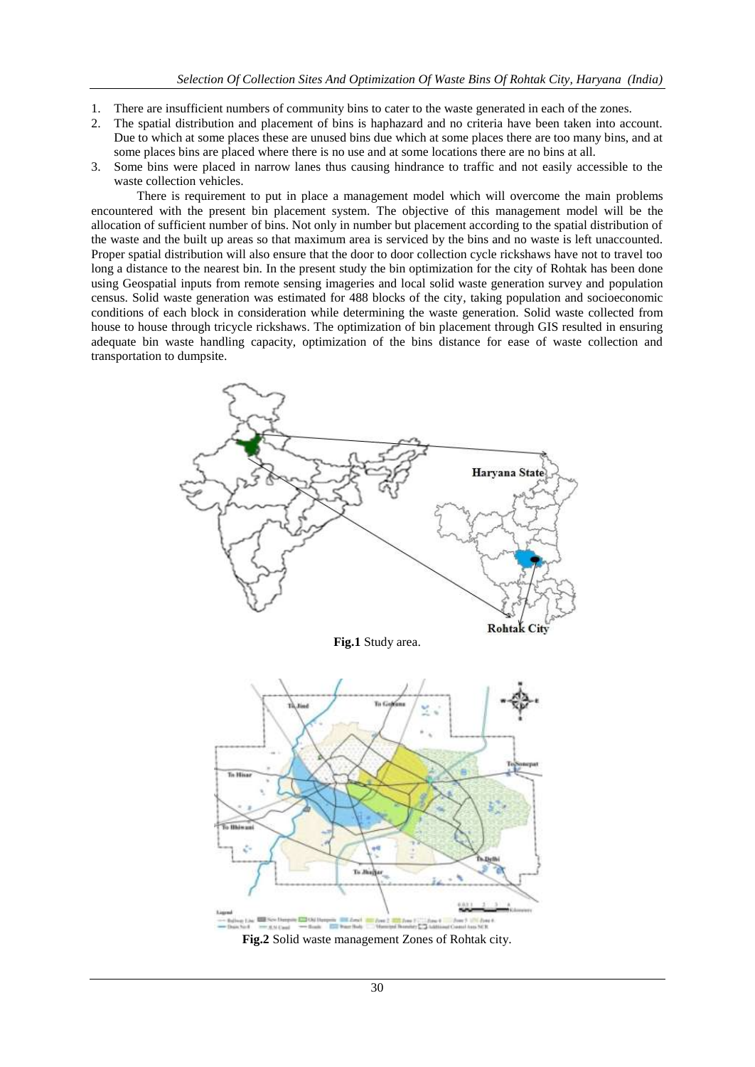- 1. There are insufficient numbers of community bins to cater to the waste generated in each of the zones.
- 2. The spatial distribution and placement of bins is haphazard and no criteria have been taken into account. Due to which at some places these are unused bins due which at some places there are too many bins, and at some places bins are placed where there is no use and at some locations there are no bins at all.
- 3. Some bins were placed in narrow lanes thus causing hindrance to traffic and not easily accessible to the waste collection vehicles.

There is requirement to put in place a management model which will overcome the main problems encountered with the present bin placement system. The objective of this management model will be the allocation of sufficient number of bins. Not only in number but placement according to the spatial distribution of the waste and the built up areas so that maximum area is serviced by the bins and no waste is left unaccounted. Proper spatial distribution will also ensure that the door to door collection cycle rickshaws have not to travel too long a distance to the nearest bin. In the present study the bin optimization for the city of Rohtak has been done using Geospatial inputs from remote sensing imageries and local solid waste generation survey and population census. Solid waste generation was estimated for 488 blocks of the city, taking population and socioeconomic conditions of each block in consideration while determining the waste generation. Solid waste collected from house to house through tricycle rickshaws. The optimization of bin placement through GIS resulted in ensuring adequate bin waste handling capacity, optimization of the bins distance for ease of waste collection and transportation to dumpsite.



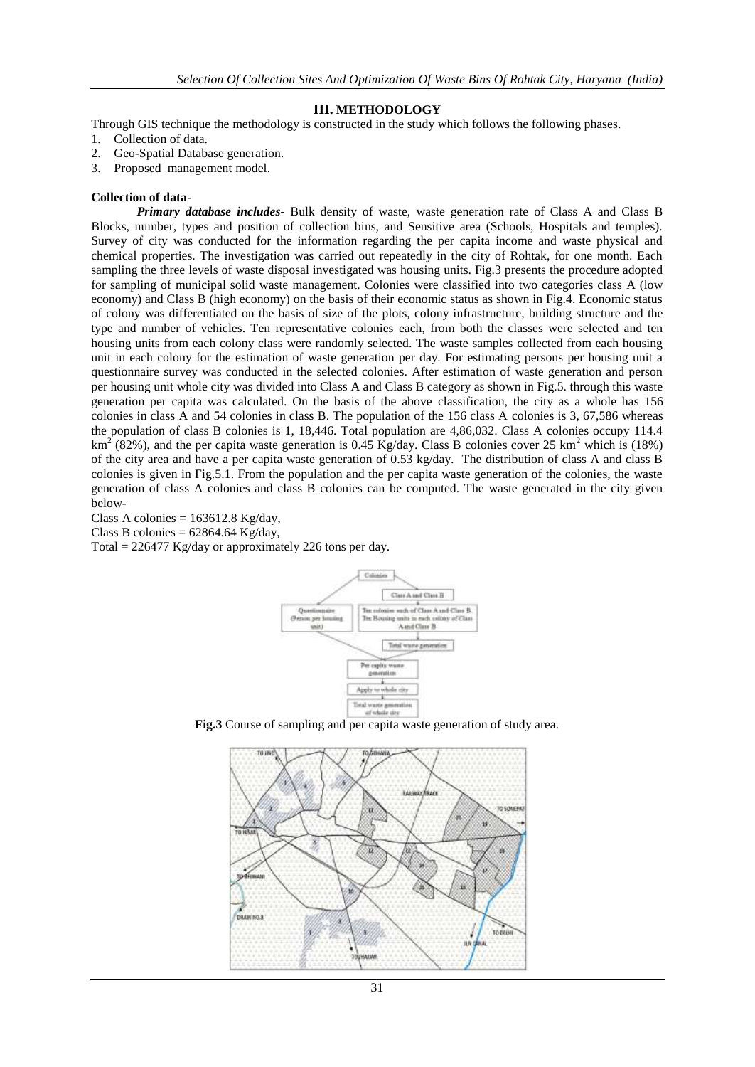#### **III. METHODOLOGY**

Through GIS technique the methodology is constructed in the study which follows the following phases.

- 1. Collection of data.
- 2. Geo-Spatial Database generation.
- 3. Proposed management model.

#### **Collection of data**-

*Primary database includes***-** Bulk density of waste, waste generation rate of Class A and Class B Blocks, number, types and position of collection bins, and Sensitive area (Schools, Hospitals and temples). Survey of city was conducted for the information regarding the per capita income and waste physical and chemical properties. The investigation was carried out repeatedly in the city of Rohtak, for one month. Each sampling the three levels of waste disposal investigated was housing units. Fig.3 presents the procedure adopted for sampling of municipal solid waste management. Colonies were classified into two categories class A (low economy) and Class B (high economy) on the basis of their economic status as shown in Fig.4. Economic status of colony was differentiated on the basis of size of the plots, colony infrastructure, building structure and the type and number of vehicles. Ten representative colonies each, from both the classes were selected and ten housing units from each colony class were randomly selected. The waste samples collected from each housing unit in each colony for the estimation of waste generation per day. For estimating persons per housing unit a questionnaire survey was conducted in the selected colonies. After estimation of waste generation and person per housing unit whole city was divided into Class A and Class B category as shown in Fig.5. through this waste generation per capita was calculated. On the basis of the above classification, the city as a whole has 156 colonies in class A and 54 colonies in class B. The population of the 156 class A colonies is 3, 67,586 whereas the population of class B colonies is 1, 18,446. Total population are 4,86,032. Class A colonies occupy 114.4  $km^2$  (82%), and the per capita waste generation is 0.45 Kg/day. Class B colonies cover 25 km<sup>2</sup> which is (18%) of the city area and have a per capita waste generation of 0.53 kg/day. The distribution of class A and class B colonies is given in Fig.5.1. From the population and the per capita waste generation of the colonies, the waste generation of class A colonies and class B colonies can be computed. The waste generated in the city given below-

Class A colonies =  $163612.8$  Kg/day, Class B colonies =  $62864.64$  Kg/day,

Total = 226477 Kg/day or approximately 226 tons per day.



**Fig.3** Course of sampling and per capita waste generation of study area.

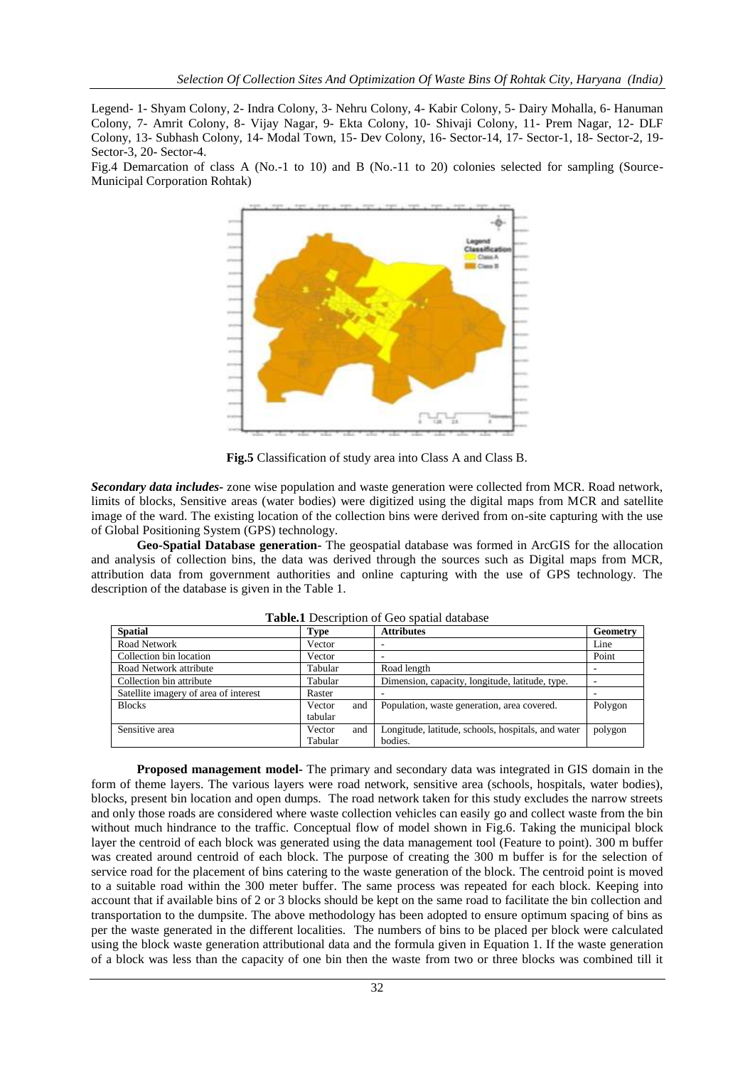Legend- 1- Shyam Colony, 2- Indra Colony, 3- Nehru Colony, 4- Kabir Colony, 5- Dairy Mohalla, 6- Hanuman Colony, 7- Amrit Colony, 8- Vijay Nagar, 9- Ekta Colony, 10- Shivaji Colony, 11- Prem Nagar, 12- DLF Colony, 13- Subhash Colony, 14- Modal Town, 15- Dev Colony, 16- Sector-14, 17- Sector-1, 18- Sector-2, 19- Sector-3, 20- Sector-4.

Fig.4 Demarcation of class A (No.-1 to 10) and B (No.-11 to 20) colonies selected for sampling (Source-Municipal Corporation Rohtak)



**Fig.5** Classification of study area into Class A and Class B.

*Secondary data includes***-** zone wise population and waste generation were collected from MCR. Road network, limits of blocks, Sensitive areas (water bodies) were digitized using the digital maps from MCR and satellite image of the ward. The existing location of the collection bins were derived from on-site capturing with the use of Global Positioning System (GPS) technology.

**Geo-Spatial Database generation-** The geospatial database was formed in ArcGIS for the allocation and analysis of collection bins, the data was derived through the sources such as Digital maps from MCR, attribution data from government authorities and online capturing with the use of GPS technology. The description of the database is given in the Table 1.

| <b>Spatial</b>                        | <b>Type</b> |     | <b>Attributes</b>                                  | Geometry |
|---------------------------------------|-------------|-----|----------------------------------------------------|----------|
| Road Network                          | Vector      |     |                                                    | Line     |
| Collection bin location               | Vector      |     |                                                    | Point    |
| Road Network attribute                | Tabular     |     | Road length                                        |          |
| Collection bin attribute              | Tabular     |     | Dimension, capacity, longitude, latitude, type.    | ٠        |
| Satellite imagery of area of interest | Raster      |     |                                                    |          |
| <b>Blocks</b>                         | Vector      | and | Population, waste generation, area covered.        | Polygon  |
|                                       | tabular     |     |                                                    |          |
| Sensitive area                        | Vector      | and | Longitude, latitude, schools, hospitals, and water | polygon  |
|                                       | Tabular     |     | bodies.                                            |          |

**Table.1** Description of Geo spatial database

**Proposed management model-** The primary and secondary data was integrated in GIS domain in the form of theme layers. The various layers were road network, sensitive area (schools, hospitals, water bodies), blocks, present bin location and open dumps. The road network taken for this study excludes the narrow streets and only those roads are considered where waste collection vehicles can easily go and collect waste from the bin without much hindrance to the traffic. Conceptual flow of model shown in Fig.6. Taking the municipal block layer the centroid of each block was generated using the data management tool (Feature to point). 300 m buffer was created around centroid of each block. The purpose of creating the 300 m buffer is for the selection of service road for the placement of bins catering to the waste generation of the block. The centroid point is moved to a suitable road within the 300 meter buffer. The same process was repeated for each block. Keeping into account that if available bins of 2 or 3 blocks should be kept on the same road to facilitate the bin collection and transportation to the dumpsite. The above methodology has been adopted to ensure optimum spacing of bins as per the waste generated in the different localities. The numbers of bins to be placed per block were calculated using the block waste generation attributional data and the formula given in Equation 1. If the waste generation of a block was less than the capacity of one bin then the waste from two or three blocks was combined till it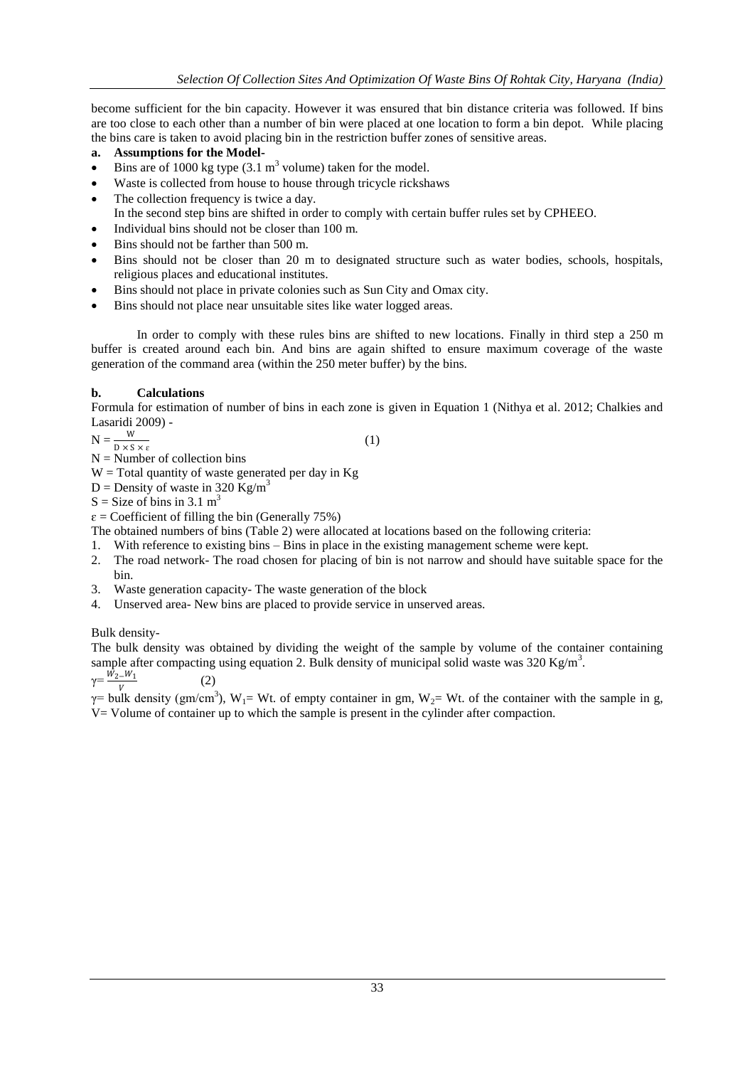become sufficient for the bin capacity. However it was ensured that bin distance criteria was followed. If bins are too close to each other than a number of bin were placed at one location to form a bin depot. While placing the bins care is taken to avoid placing bin in the restriction buffer zones of sensitive areas.

## **a. Assumptions for the Model-**

- Eins are of 1000 kg type  $(3.1 \text{ m}^3 \text{ volume})$  taken for the model.
- Waste is collected from house to house through tricycle rickshaws
- The collection frequency is twice a day.
- In the second step bins are shifted in order to comply with certain buffer rules set by CPHEEO.
- Individual bins should not be closer than 100 m.
- Bins should not be farther than 500 m.
- Bins should not be closer than 20 m to designated structure such as water bodies, schools, hospitals, religious places and educational institutes.
- Bins should not place in private colonies such as Sun City and Omax city.
- Bins should not place near unsuitable sites like water logged areas.

In order to comply with these rules bins are shifted to new locations. Finally in third step a 250 m buffer is created around each bin. And bins are again shifted to ensure maximum coverage of the waste generation of the command area (within the 250 meter buffer) by the bins.

## **b. Calculations**

Formula for estimation of number of bins in each zone is given in Equation 1 (Nithya et al. 2012; Chalkies and Lasaridi 2009) -

 $N = \frac{W}{D \times S \times \varepsilon}$ 

(1)

 $N =$  Number of collection bins

 $W = Total$  quantity of waste generated per day in Kg

- D = Density of waste in 320 Kg/m<sup>3</sup>
- $S = Size$  of bins in 3.1 m<sup>3</sup>

 $\varepsilon$  = Coefficient of filling the bin (Generally 75%)

(2)

The obtained numbers of bins (Table 2) were allocated at locations based on the following criteria:

- 1. With reference to existing bins Bins in place in the existing management scheme were kept.
- 2. The road network- The road chosen for placing of bin is not narrow and should have suitable space for the bin.
- 3. Waste generation capacity- The waste generation of the block
- 4. Unserved area- New bins are placed to provide service in unserved areas.

# Bulk density-

The bulk density was obtained by dividing the weight of the sample by volume of the container containing sample after compacting using equation 2. Bulk density of municipal solid waste was 320 Kg/m<sup>3</sup>.

 $\gamma = \frac{W_2 - W_1}{W_1}$ V

 $\gamma$ = bulk density (gm/cm<sup>3</sup>), W<sub>1</sub>= Wt. of empty container in gm, W<sub>2</sub>= Wt. of the container with the sample in g, V= Volume of container up to which the sample is present in the cylinder after compaction.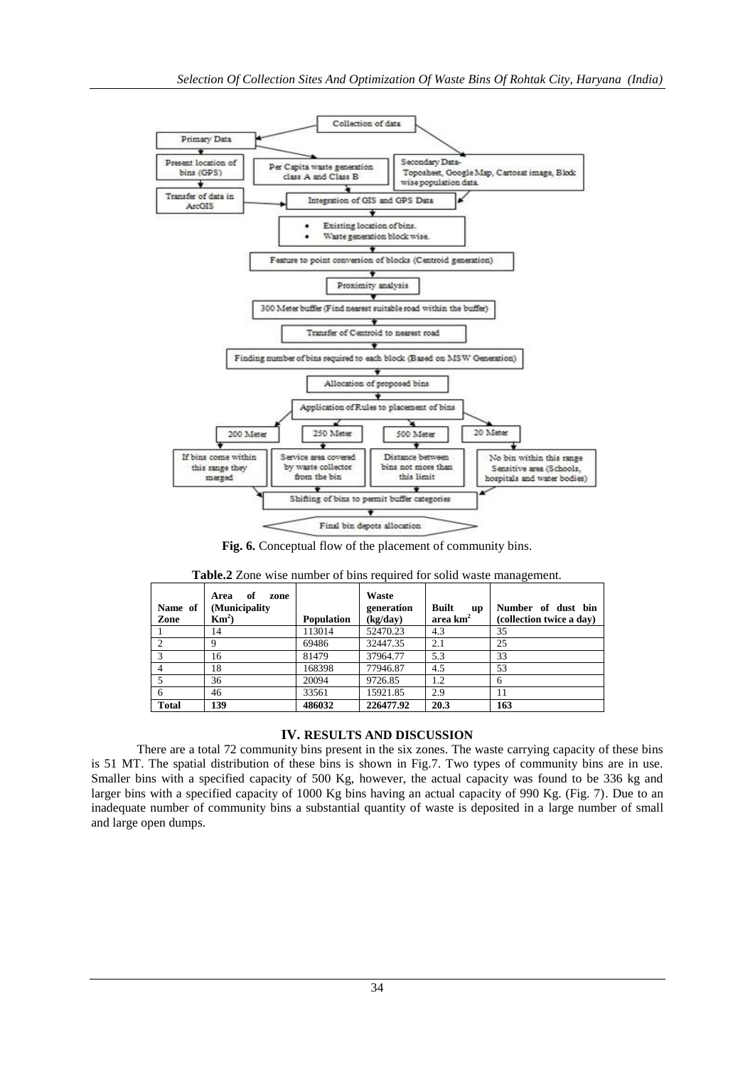

**Fig. 6.** Conceptual flow of the placement of community bins.

| Name of<br>Zone | of<br>Area<br>zone<br>(Municipality<br>$\mathbf{Km}^2$ | <b>Population</b> | Waste<br>generation<br>(kg/day) | <b>Built</b><br><b>up</b><br>area $km2$ | Number of dust bin<br>(collection twice a day) |
|-----------------|--------------------------------------------------------|-------------------|---------------------------------|-----------------------------------------|------------------------------------------------|
|                 | 14                                                     | 113014            | 52470.23                        | 4.3                                     | 35                                             |
|                 | 9                                                      | 69486             | 32447.35                        | 2.1                                     | 25                                             |
|                 | 16                                                     | 81479             | 37964.77                        | 5.3                                     | 33                                             |
|                 | 18                                                     | 168398            | 77946.87                        | 4.5                                     | 53                                             |
|                 | 36                                                     | 20094             | 9726.85                         | 1.2                                     | 6                                              |
| 6               | 46                                                     | 33561             | 15921.85                        | 2.9                                     | 11                                             |
| <b>Total</b>    | 139                                                    | 486032            | 226477.92                       | 20.3                                    | 163                                            |

|  | Table.2 Zone wise number of bins required for solid waste management |  |  |  |  |  |  |  |
|--|----------------------------------------------------------------------|--|--|--|--|--|--|--|
|--|----------------------------------------------------------------------|--|--|--|--|--|--|--|

## **IV. RESULTS AND DISCUSSION**

There are a total 72 community bins present in the six zones. The waste carrying capacity of these bins is 51 MT. The spatial distribution of these bins is shown in Fig.7. Two types of community bins are in use. Smaller bins with a specified capacity of 500 Kg, however, the actual capacity was found to be 336 kg and larger bins with a specified capacity of 1000 Kg bins having an actual capacity of 990 Kg. (Fig. 7). Due to an inadequate number of community bins a substantial quantity of waste is deposited in a large number of small and large open dumps.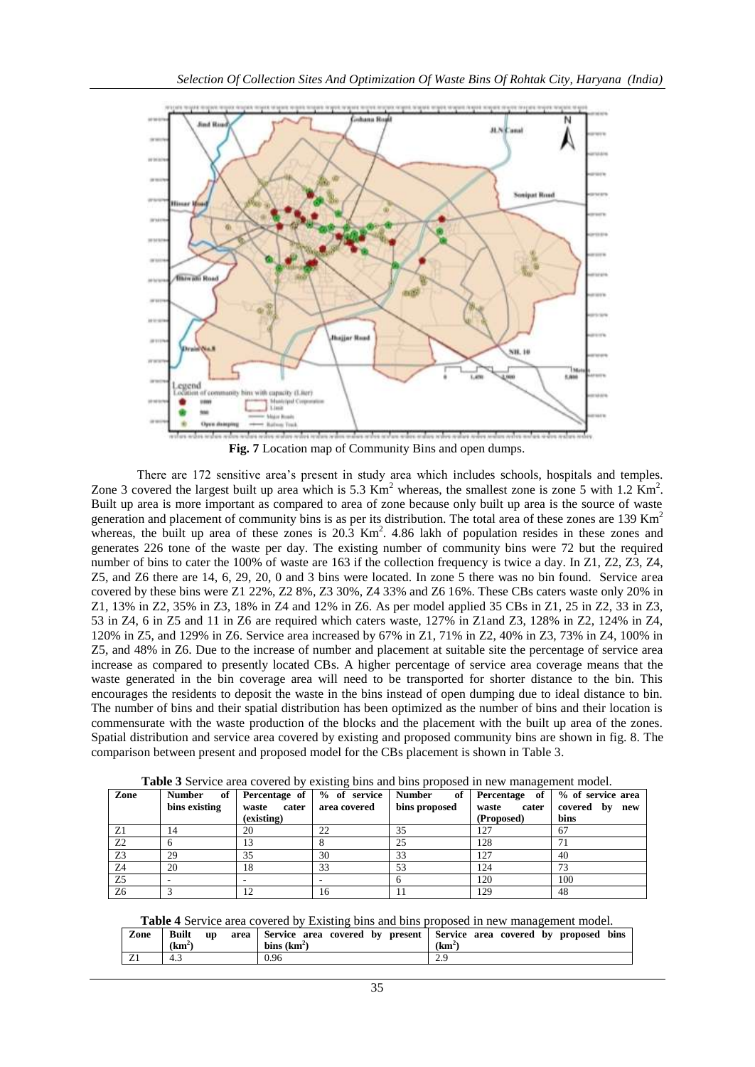

**Fig. 7** Location map of Community Bins and open dumps.

There are 172 sensitive area's present in study area which includes schools, hospitals and temples. Zone 3 covered the largest built up area which is 5.3  $\text{Km}^2$  whereas, the smallest zone is zone 5 with 1.2  $\text{Km}^2$ . Built up area is more important as compared to area of zone because only built up area is the source of waste generation and placement of community bins is as per its distribution. The total area of these zones are  $139 \text{ Km}^2$ whereas, the built up area of these zones is  $20.\overline{3}$  Km<sup>2</sup>. 4.86 lakh of population resides in these zones and generates 226 tone of the waste per day. The existing number of community bins were 72 but the required number of bins to cater the 100% of waste are 163 if the collection frequency is twice a day. In Z1, Z2, Z3, Z4, Z5, and Z6 there are 14, 6, 29, 20, 0 and 3 bins were located. In zone 5 there was no bin found. Service area covered by these bins were Z1 22%, Z2 8%, Z3 30%, Z4 33% and Z6 16%. These CBs caters waste only 20% in Z1, 13% in Z2, 35% in Z3, 18% in Z4 and 12% in Z6. As per model applied 35 CBs in Z1, 25 in Z2, 33 in Z3, 53 in Z4, 6 in Z5 and 11 in Z6 are required which caters waste, 127% in Z1and Z3, 128% in Z2, 124% in Z4, 120% in Z5, and 129% in Z6. Service area increased by 67% in Z1, 71% in Z2, 40% in Z3, 73% in Z4, 100% in Z5, and 48% in Z6. Due to the increase of number and placement at suitable site the percentage of service area increase as compared to presently located CBs. A higher percentage of service area coverage means that the waste generated in the bin coverage area will need to be transported for shorter distance to the bin. This encourages the residents to deposit the waste in the bins instead of open dumping due to ideal distance to bin. The number of bins and their spatial distribution has been optimized as the number of bins and their location is commensurate with the waste production of the blocks and the placement with the built up area of the zones. Spatial distribution and service area covered by existing and proposed community bins are shown in fig. 8. The comparison between present and proposed model for the CBs placement is shown in Table 3.

| Zone           | of<br><b>Number</b> | Percentage of  | % of service   Number | of            | Percentage of  | % of service area |
|----------------|---------------------|----------------|-----------------------|---------------|----------------|-------------------|
|                | bins existing       | cater<br>waste | area covered          | bins proposed | waste<br>cater | covered by<br>new |
|                |                     | (existing)     |                       |               | (Proposed)     | bins              |
| Z1             | 14                  | 20             | 22                    | 35            | 127            | 67                |
| Z2             |                     |                |                       | 25            | 128            |                   |
| Z <sub>3</sub> | 29                  | 35             | 30                    | 33            | 127            | 40                |
| Z4             | 20                  | 18             | 33                    | 53            | 124            | 73                |
| Z <sub>5</sub> |                     |                |                       |               | 120            | 100               |
| Z <sub>6</sub> |                     |                | 16                    |               | 129            | 48                |

**Table 3** Service area covered by existing bins and bins proposed in new management model.

**Table 4** Service area covered by Existing bins and bins proposed in new management model.

| Zone | <b>Built</b><br>up<br>(km <sup>2</sup> ) | bins $(km^2)$ | area Service area covered by present Service area covered by proposed bins<br>$(km^2)$ |
|------|------------------------------------------|---------------|----------------------------------------------------------------------------------------|
| ∠⊥   | 4.3                                      | 0.96          |                                                                                        |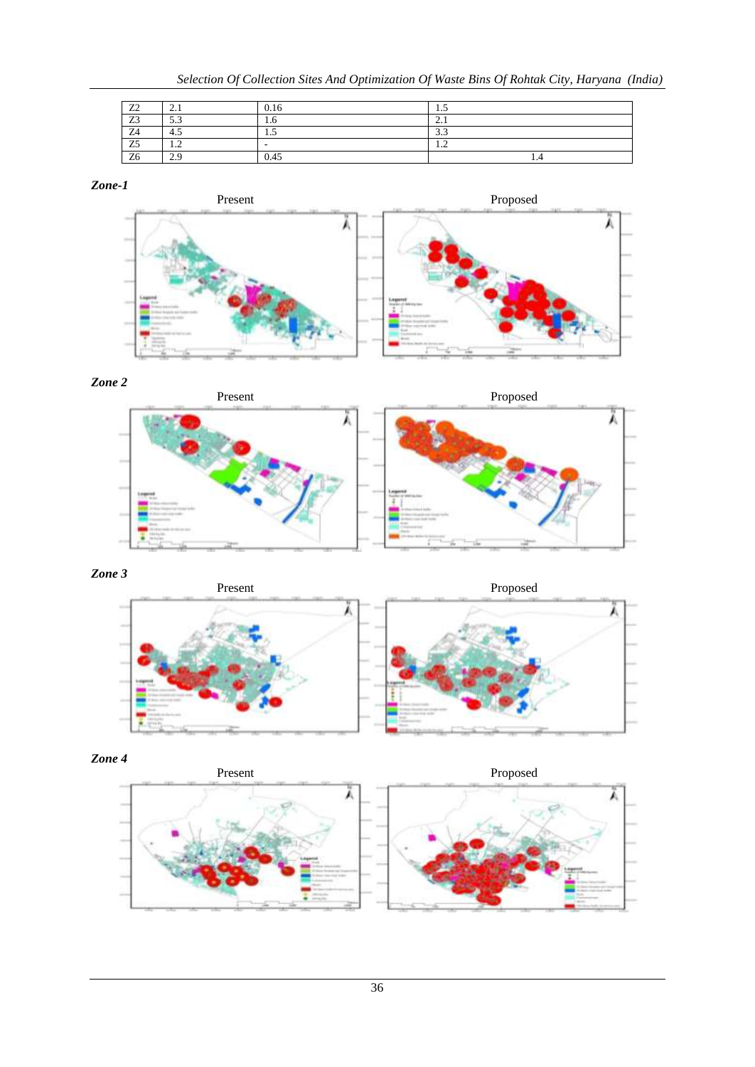| Z <sub>2</sub> | $\sim$ 1                | 0.16   | سد                      |
|----------------|-------------------------|--------|-------------------------|
| Z3             | 52<br>ر.ر               | 1.0    | $\sim$                  |
| Z4             | 4.5                     | ن. 1   | $\sim$<br>ر. ر          |
| Z <sub>5</sub> | $\cdot$                 | $\sim$ | $\overline{1}$          |
| Z <sub>6</sub> | $\gamma$ a<br>$\sim$ .) | 0.45   | $\cdot$ $\cdot$ $\cdot$ |

## *Zone-1*











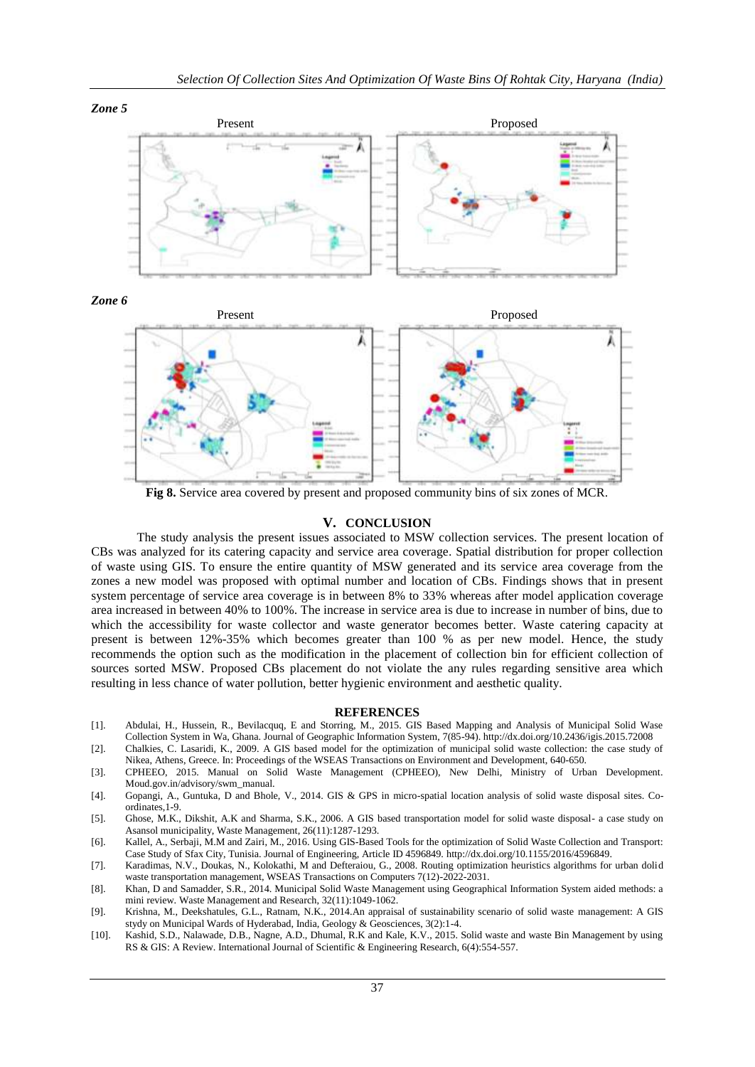

*Zone 6*



**Fig 8.** Service area covered by present and proposed community bins of six zones of MCR.

#### **V. CONCLUSION**

The study analysis the present issues associated to MSW collection services. The present location of CBs was analyzed for its catering capacity and service area coverage. Spatial distribution for proper collection of waste using GIS. To ensure the entire quantity of MSW generated and its service area coverage from the zones a new model was proposed with optimal number and location of CBs. Findings shows that in present system percentage of service area coverage is in between 8% to 33% whereas after model application coverage area increased in between 40% to 100%. The increase in service area is due to increase in number of bins, due to which the accessibility for waste collector and waste generator becomes better. Waste catering capacity at present is between 12%-35% which becomes greater than 100 % as per new model. Hence, the study recommends the option such as the modification in the placement of collection bin for efficient collection of sources sorted MSW. Proposed CBs placement do not violate the any rules regarding sensitive area which resulting in less chance of water pollution, better hygienic environment and aesthetic quality.

#### **REFERENCES**

- [1]. Abdulai, H., Hussein, R., Bevilacquq, E and Storring, M., 2015. GIS Based Mapping and Analysis of Municipal Solid Wase Collection System in Wa, Ghana. Journal of Geographic Information System, 7(85-94)[. http://dx.doi.org/10.2436/igis.2015.72008](http://dx.doi.org/10.2436/igis.2015.72008)
- [2]. Chalkies, C. Lasaridi, K., 2009. A GIS based model for the optimization of municipal solid waste collection: the case study of Nikea, Athens, Greece. In: Proceedings of the WSEAS Transactions on Environment and Development, 640-650.
- [3]. CPHEEO, 2015. Manual on Solid Waste Management (CPHEEO), New Delhi, Ministry of Urban Development. Moud.gov.in/advisory/swm\_manual.
- [4]. Gopangi, A., Guntuka, D and Bhole, V., 2014. GIS & GPS in micro-spatial location analysis of solid waste disposal sites. Coordinates,1-9.
- [5]. Ghose, M.K., Dikshit, A.K and Sharma, S.K., 2006. A GIS based transportation model for solid waste disposal- a case study on Asansol municipality, Waste Management, 26(11):1287-1293.
- [6]. Kallel, A., Serbaji, M.M and Zairi, M., 2016. Using GIS-Based Tools for the optimization of Solid Waste Collection and Transport: Case Study of Sfax City, Tunisia. Journal of Engineering, Article ID 4596849[. http://dx.doi.org/10.1155/2016/4596849.](http://dx.doi.org/10.1155/2016/4596849)
- [7]. Karadimas, N.V., Doukas, N., Kolokathi, M and Defteraiou, G., 2008. Routing optimization heuristics algorithms for urban dolid waste transportation management, WSEAS Transactions on Computers 7(12)-2022-2031.
- [8]. Khan, D and Samadder, S.R., 2014. Municipal Solid Waste Management using Geographical Information System aided methods: a mini review. Waste Management and Research, 32(11):1049-1062.
- [9]. Krishna, M., Deekshatules, G.L., Ratnam, N.K., 2014.An appraisal of sustainability scenario of solid waste management: A GIS stydy on Municipal Wards of Hyderabad, India, Geology & Geosciences, 3(2):1-4.
- [10]. Kashid, S.D., Nalawade, D.B., Nagne, A.D., Dhumal, R.K and Kale, K.V., 2015. Solid waste and waste Bin Management by using RS & GIS: A Review. International Journal of Scientific & Engineering Research, 6(4):554-557.